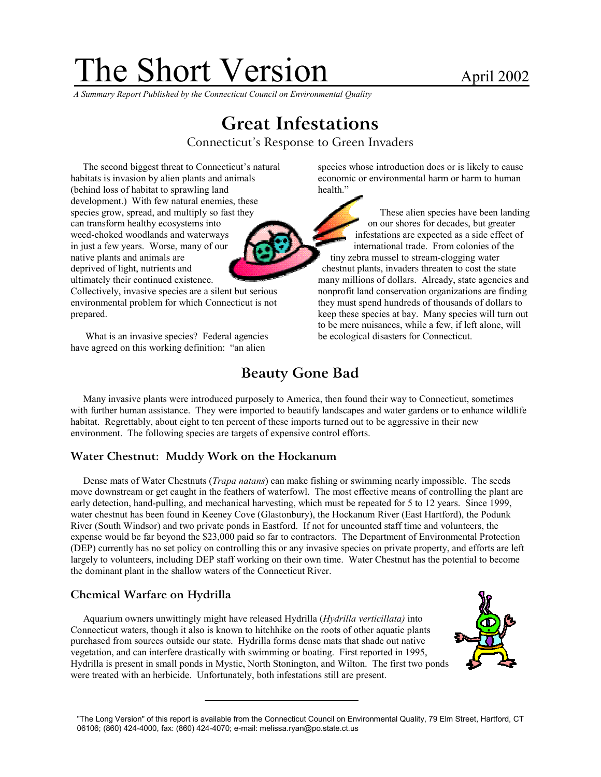# The Short Version April 2002

*A Summary Report Published by the Connecticut Council on Environmental Quality* 

# **Great Infestations**

Connecticut's Response to Green Invaders

(behind loss of habitat to sprawling land health." development.) With few natural enemies, these can transform healthy ecosystems into on our shores for decades, but greater in just a few years. Worse, many of our **international trade.** From colonies of the native plants and animals are time  $\frac{1}{\sqrt{1-\frac{1}{\sqrt{1-\frac{1}{\sqrt{1-\frac{1}{\sqrt{1-\frac{1}{\sqrt{1-\frac{1}{\sqrt{1-\frac{1}{\sqrt{1-\frac{1}{\sqrt{1-\frac{1}{\sqrt{1-\frac{1}{\sqrt{1-\frac{1}{\sqrt{1-\frac{1}{\sqrt{1-\frac{1}{\sqrt{1-\frac{1}{\sqrt{1-\frac{1}{\sqrt{1-\frac{1}{\sqrt{1-\frac{1}{\sqrt{1-\frac{1}{\sqrt{1-\frac{1}{\sqrt{1-\frac{1}{\sqrt{1-\frac{1}{\$ deprived of light, nutrients and chestnut plants, invaders threaten to cost the state

environmental problem for which Connecticut is not they must spend hundreds of thousands of dollars to

What is an invasive species? Federal agencies be ecological disasters for Connecticut. have agreed on this working definition: "an alien

The second biggest threat to Connecticut's natural species whose introduction does or is likely to cause habitats is invasion by alien plants and animals economic or environmental harm or harm to human

species grow, spread, and multiply so fast they These alien species have been landing weed-choked woodlands and waterways infestations are expected as a side effect of ultimately their continued existence. many millions of dollars. Already, state agencies and Collectively, invasive species are a silent but serious nonprofit land conservation organizations are finding prepared. keep these species at bay. Many species will turn out to be mere nuisances, while a few, if left alone, will

## **Beauty Gone Bad**

Many invasive plants were introduced purposely to America, then found their way to Connecticut, sometimes with further human assistance. They were imported to beautify landscapes and water gardens or to enhance wildlife habitat. Regrettably, about eight to ten percent of these imports turned out to be aggressive in their new environment. The following species are targets of expensive control efforts.

#### **Water Chestnut: Muddy Work on the Hockanum**

Dense mats of Water Chestnuts (*Trapa natans*) can make fishing or swimming nearly impossible. The seeds move downstream or get caught in the feathers of waterfowl. The most effective means of controlling the plant are early detection, hand-pulling, and mechanical harvesting, which must be repeated for 5 to 12 years. Since 1999, water chestnut has been found in Keeney Cove (Glastonbury), the Hockanum River (East Hartford), the Podunk River (South Windsor) and two private ponds in Eastford. If not for uncounted staff time and volunteers, the expense would be far beyond the \$23,000 paid so far to contractors. The Department of Environmental Protection (DEP) currently has no set policy on controlling this or any invasive species on private property, and efforts are left largely to volunteers, including DEP staff working on their own time. Water Chestnut has the potential to become the dominant plant in the shallow waters of the Connecticut River.

#### **Chemical Warfare on Hydrilla**

Aquarium owners unwittingly might have released Hydrilla (*Hydrilla verticillata)* into Connecticut waters, though it also is known to hitchhike on the roots of other aquatic plants purchased from sources outside our state. Hydrilla forms dense mats that shade out native vegetation, and can interfere drastically with swimming or boating. First reported in 1995, Hydrilla is present in small ponds in Mystic, North Stonington, and Wilton. The first two ponds were treated with an herbicide. Unfortunately, both infestations still are present.



<sup>&</sup>quot;The Long Version" of this report is available from the Connecticut Council on Environmental Quality, 79 Elm Street, Hartford, CT 06106; (860) 424-4000, fax: (860) 424-4070; e-mail: melissa.ryan@po.state.ct.us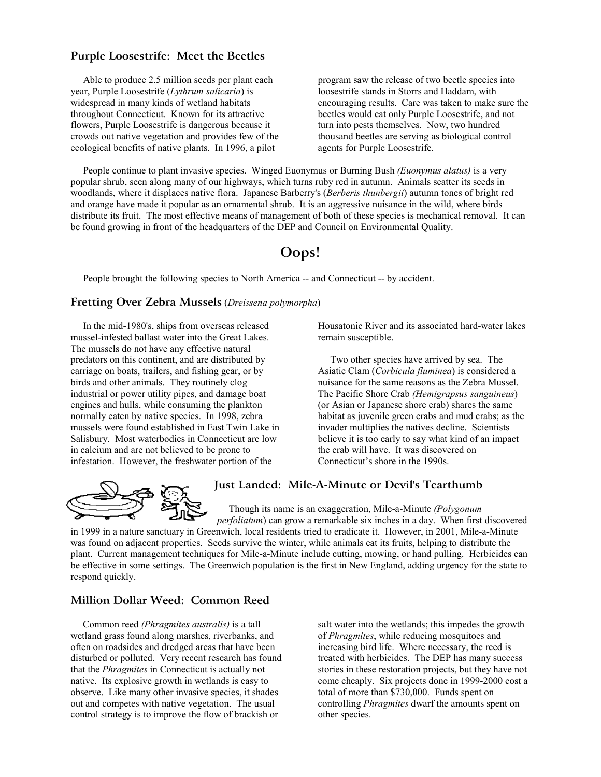#### **Purple Loosestrife: Meet the Beetles**

Able to produce 2.5 million seeds per plant each year, Purple Loosestrife (*Lythrum salicaria*) is widespread in many kinds of wetland habitats throughout Connecticut. Known for its attractive flowers, Purple Loosestrife is dangerous because it crowds out native vegetation and provides few of the ecological benefits of native plants. In 1996, a pilot

program saw the release of two beetle species into loosestrife stands in Storrs and Haddam, with encouraging results. Care was taken to make sure the beetles would eat only Purple Loosestrife, and not turn into pests themselves. Now, two hundred thousand beetles are serving as biological control agents for Purple Loosestrife.

People continue to plant invasive species. Winged Euonymus or Burning Bush *(Euonymus alatus)* is a very popular shrub, seen along many of our highways, which turns ruby red in autumn. Animals scatter its seeds in woodlands, where it displaces native flora. Japanese Barberry's (*Berberis thunbergii*) autumn tones of bright red and orange have made it popular as an ornamental shrub. It is an aggressive nuisance in the wild, where birds distribute its fruit. The most effective means of management of both of these species is mechanical removal. It can be found growing in front of the headquarters of the DEP and Council on Environmental Quality.

### **Oops!**

People brought the following species to North America -- and Connecticut -- by accident.

#### **Fretting Over Zebra Mussels** (*Dreissena polymorpha*)

In the mid-1980's, ships from overseas released mussel-infested ballast water into the Great Lakes. The mussels do not have any effective natural predators on this continent, and are distributed by carriage on boats, trailers, and fishing gear, or by birds and other animals. They routinely clog industrial or power utility pipes, and damage boat engines and hulls, while consuming the plankton normally eaten by native species. In 1998, zebra mussels were found established in East Twin Lake in Salisbury. Most waterbodies in Connecticut are low in calcium and are not believed to be prone to infestation. However, the freshwater portion of the

Housatonic River and its associated hard-water lakes remain susceptible.

Two other species have arrived by sea. The Asiatic Clam (*Corbicula fluminea*) is considered a nuisance for the same reasons as the Zebra Mussel. The Pacific Shore Crab *(Hemigrapsus sanguineus*) (or Asian or Japanese shore crab) shares the same habitat as juvenile green crabs and mud crabs; as the invader multiplies the natives decline. Scientists believe it is too early to say what kind of an impact the crab will have. It was discovered on Connecticut's shore in the 1990s.



#### **Just Landed: Mile-A-Minute or Devil's Tearthumb**

Though its name is an exaggeration, Mile-a-Minute *(Polygonum* 

*perfoliatum*) can grow a remarkable six inches in a day. When first discovered in 1999 in a nature sanctuary in Greenwich, local residents tried to eradicate it. However, in 2001, Mile-a-Minute was found on adjacent properties. Seeds survive the winter, while animals eat its fruits, helping to distribute the plant. Current management techniques for Mile-a-Minute include cutting, mowing, or hand pulling. Herbicides can be effective in some settings. The Greenwich population is the first in New England, adding urgency for the state to respond quickly.

#### **Million Dollar Weed: Common Reed**

Common reed *(Phragmites australis)* is a tall wetland grass found along marshes, riverbanks, and often on roadsides and dredged areas that have been disturbed or polluted. Very recent research has found that the *Phragmites* in Connecticut is actually not native. Its explosive growth in wetlands is easy to observe. Like many other invasive species, it shades out and competes with native vegetation. The usual control strategy is to improve the flow of brackish or

salt water into the wetlands; this impedes the growth of *Phragmites*, while reducing mosquitoes and increasing bird life. Where necessary, the reed is treated with herbicides. The DEP has many success stories in these restoration projects, but they have not come cheaply. Six projects done in 1999-2000 cost a total of more than \$730,000. Funds spent on controlling *Phragmites* dwarf the amounts spent on other species.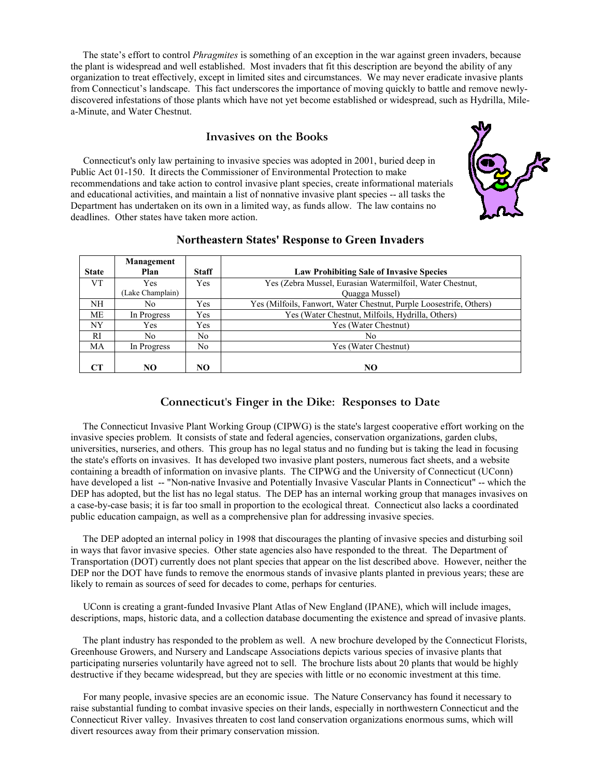The state's effort to control *Phragmites* is something of an exception in the war against green invaders, because the plant is widespread and well established. Most invaders that fit this description are beyond the ability of any organization to treat effectively, except in limited sites and circumstances. We may never eradicate invasive plants from Connecticut's landscape. This fact underscores the importance of moving quickly to battle and remove newlydiscovered infestations of those plants which have not yet become established or widespread, such as Hydrilla, Milea-Minute, and Water Chestnut.

#### **Invasives on the Books**

Connecticut's only law pertaining to invasive species was adopted in 2001, buried deep in Public Act 01-150. It directs the Commissioner of Environmental Protection to make recommendations and take action to control invasive plant species, create informational materials and educational activities, and maintain a list of nonnative invasive plant species -- all tasks the Department has undertaken on its own in a limited way, as funds allow. The law contains no deadlines. Other states have taken more action.



|              | Management       |              |                                                                     |
|--------------|------------------|--------------|---------------------------------------------------------------------|
| <b>State</b> | Plan             | <b>Staff</b> | <b>Law Prohibiting Sale of Invasive Species</b>                     |
| VT           | Yes              | Yes          | Yes (Zebra Mussel, Eurasian Watermilfoil, Water Chestnut,           |
|              | (Lake Champlain) |              | Quagga Mussel)                                                      |
| NH           | No               | Yes          | Yes (Milfoils, Fanwort, Water Chestnut, Purple Loosestrife, Others) |
| MЕ           | In Progress      | Yes          | Yes (Water Chestnut, Milfoils, Hydrilla, Others)                    |
| NY           | Yes              | Yes          | Yes (Water Chestnut)                                                |
| <b>RI</b>    | No               | No           | No                                                                  |
| MA           | In Progress      | No           | Yes (Water Chestnut)                                                |
|              |                  |              |                                                                     |
| CТ           | NO.              | NO           | NO.                                                                 |

#### **Northeastern States' Response to Green Invaders**

#### **Connecticut's Finger in the Dike: Responses to Date**

The Connecticut Invasive Plant Working Group (CIPWG) is the state's largest cooperative effort working on the invasive species problem. It consists of state and federal agencies, conservation organizations, garden clubs, universities, nurseries, and others. This group has no legal status and no funding but is taking the lead in focusing the state's efforts on invasives. It has developed two invasive plant posters, numerous fact sheets, and a website containing a breadth of information on invasive plants. The CIPWG and the University of Connecticut (UConn) have developed a list -- "Non-native Invasive and Potentially Invasive Vascular Plants in Connecticut" -- which the DEP has adopted, but the list has no legal status. The DEP has an internal working group that manages invasives on a case-by-case basis; it is far too small in proportion to the ecological threat. Connecticut also lacks a coordinated public education campaign, as well as a comprehensive plan for addressing invasive species.

The DEP adopted an internal policy in 1998 that discourages the planting of invasive species and disturbing soil in ways that favor invasive species. Other state agencies also have responded to the threat. The Department of Transportation (DOT) currently does not plant species that appear on the list described above. However, neither the DEP nor the DOT have funds to remove the enormous stands of invasive plants planted in previous years; these are likely to remain as sources of seed for decades to come, perhaps for centuries.

UConn is creating a grant-funded Invasive Plant Atlas of New England (IPANE), which will include images, descriptions, maps, historic data, and a collection database documenting the existence and spread of invasive plants.

The plant industry has responded to the problem as well. A new brochure developed by the Connecticut Florists, Greenhouse Growers, and Nursery and Landscape Associations depicts various species of invasive plants that participating nurseries voluntarily have agreed not to sell. The brochure lists about 20 plants that would be highly destructive if they became widespread, but they are species with little or no economic investment at this time.

For many people, invasive species are an economic issue. The Nature Conservancy has found it necessary to raise substantial funding to combat invasive species on their lands, especially in northwestern Connecticut and the Connecticut River valley. Invasives threaten to cost land conservation organizations enormous sums, which will divert resources away from their primary conservation mission.